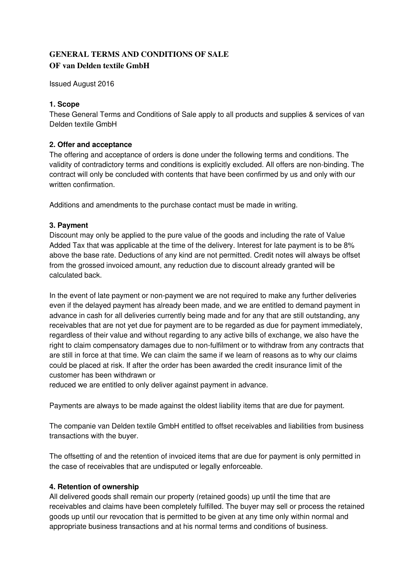# **GENERAL TERMS AND CONDITIONS OF SALE OF van Delden textile GmbH**

Issued August 2016

# **1. Scope**

These General Terms and Conditions of Sale apply to all products and supplies & services of van Delden textile GmbH

# **2. Offer and acceptance**

The offering and acceptance of orders is done under the following terms and conditions. The validity of contradictory terms and conditions is explicitly excluded. All offers are non-binding. The contract will only be concluded with contents that have been confirmed by us and only with our written confirmation.

Additions and amendments to the purchase contact must be made in writing.

# **3. Payment**

Discount may only be applied to the pure value of the goods and including the rate of Value Added Tax that was applicable at the time of the delivery. Interest for late payment is to be 8% above the base rate. Deductions of any kind are not permitted. Credit notes will always be offset from the grossed invoiced amount, any reduction due to discount already granted will be calculated back.

In the event of late payment or non-payment we are not required to make any further deliveries even if the delayed payment has already been made, and we are entitled to demand payment in advance in cash for all deliveries currently being made and for any that are still outstanding, any receivables that are not yet due for payment are to be regarded as due for payment immediately, regardless of their value and without regarding to any active bills of exchange, we also have the right to claim compensatory damages due to non-fulfilment or to withdraw from any contracts that are still in force at that time. We can claim the same if we learn of reasons as to why our claims could be placed at risk. If after the order has been awarded the credit insurance limit of the customer has been withdrawn or

reduced we are entitled to only deliver against payment in advance.

Payments are always to be made against the oldest liability items that are due for payment.

The companie van Delden textile GmbH entitled to offset receivables and liabilities from business transactions with the buyer.

The offsetting of and the retention of invoiced items that are due for payment is only permitted in the case of receivables that are undisputed or legally enforceable.

# **4. Retention of ownership**

All delivered goods shall remain our property (retained goods) up until the time that are receivables and claims have been completely fulfilled. The buyer may sell or process the retained goods up until our revocation that is permitted to be given at any time only within normal and appropriate business transactions and at his normal terms and conditions of business.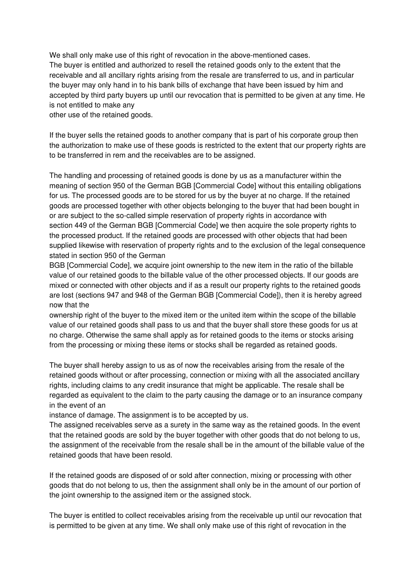We shall only make use of this right of revocation in the above-mentioned cases. The buyer is entitled and authorized to resell the retained goods only to the extent that the receivable and all ancillary rights arising from the resale are transferred to us, and in particular the buyer may only hand in to his bank bills of exchange that have been issued by him and accepted by third party buyers up until our revocation that is permitted to be given at any time. He is not entitled to make any

other use of the retained goods.

If the buyer sells the retained goods to another company that is part of his corporate group then the authorization to make use of these goods is restricted to the extent that our property rights are to be transferred in rem and the receivables are to be assigned.

The handling and processing of retained goods is done by us as a manufacturer within the meaning of section 950 of the German BGB [Commercial Code] without this entailing obligations for us. The processed goods are to be stored for us by the buyer at no charge. If the retained goods are processed together with other objects belonging to the buyer that had been bought in or are subject to the so-called simple reservation of property rights in accordance with section 449 of the German BGB [Commercial Code] we then acquire the sole property rights to the processed product. If the retained goods are processed with other objects that had been supplied likewise with reservation of property rights and to the exclusion of the legal consequence stated in section 950 of the German

BGB [Commercial Code], we acquire joint ownership to the new item in the ratio of the billable value of our retained goods to the billable value of the other processed objects. If our goods are mixed or connected with other objects and if as a result our property rights to the retained goods are lost (sections 947 and 948 of the German BGB [Commercial Code]), then it is hereby agreed now that the

ownership right of the buyer to the mixed item or the united item within the scope of the billable value of our retained goods shall pass to us and that the buyer shall store these goods for us at no charge. Otherwise the same shall apply as for retained goods to the items or stocks arising from the processing or mixing these items or stocks shall be regarded as retained goods.

The buyer shall hereby assign to us as of now the receivables arising from the resale of the retained goods without or after processing, connection or mixing with all the associated ancillary rights, including claims to any credit insurance that might be applicable. The resale shall be regarded as equivalent to the claim to the party causing the damage or to an insurance company in the event of an

instance of damage. The assignment is to be accepted by us.

The assigned receivables serve as a surety in the same way as the retained goods. In the event that the retained goods are sold by the buyer together with other goods that do not belong to us, the assignment of the receivable from the resale shall be in the amount of the billable value of the retained goods that have been resold.

If the retained goods are disposed of or sold after connection, mixing or processing with other goods that do not belong to us, then the assignment shall only be in the amount of our portion of the joint ownership to the assigned item or the assigned stock.

The buyer is entitled to collect receivables arising from the receivable up until our revocation that is permitted to be given at any time. We shall only make use of this right of revocation in the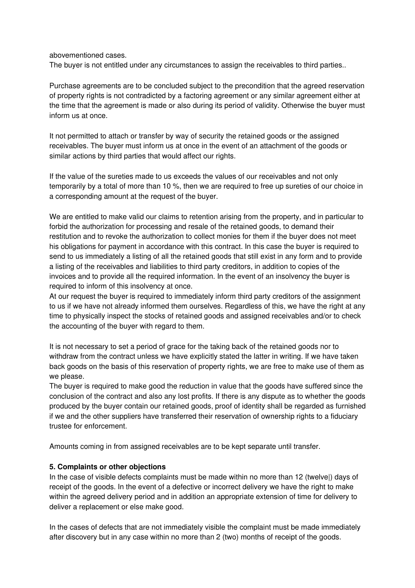abovementioned cases.

The buyer is not entitled under any circumstances to assign the receivables to third parties..

Purchase agreements are to be concluded subject to the precondition that the agreed reservation of property rights is not contradicted by a factoring agreement or any similar agreement either at the time that the agreement is made or also during its period of validity. Otherwise the buyer must inform us at once.

It not permitted to attach or transfer by way of security the retained goods or the assigned receivables. The buyer must inform us at once in the event of an attachment of the goods or similar actions by third parties that would affect our rights.

If the value of the sureties made to us exceeds the values of our receivables and not only temporarily by a total of more than 10 %, then we are required to free up sureties of our choice in a corresponding amount at the request of the buyer.

We are entitled to make valid our claims to retention arising from the property, and in particular to forbid the authorization for processing and resale of the retained goods, to demand their restitution and to revoke the authorization to collect monies for them if the buyer does not meet his obligations for payment in accordance with this contract. In this case the buyer is required to send to us immediately a listing of all the retained goods that still exist in any form and to provide a listing of the receivables and liabilities to third party creditors, in addition to copies of the invoices and to provide all the required information. In the event of an insolvency the buyer is required to inform of this insolvency at once.

At our request the buyer is required to immediately inform third party creditors of the assignment to us if we have not already informed them ourselves. Regardless of this, we have the right at any time to physically inspect the stocks of retained goods and assigned receivables and/or to check the accounting of the buyer with regard to them.

It is not necessary to set a period of grace for the taking back of the retained goods nor to withdraw from the contract unless we have explicitly stated the latter in writing. If we have taken back goods on the basis of this reservation of property rights, we are free to make use of them as we please.

The buyer is required to make good the reduction in value that the goods have suffered since the conclusion of the contract and also any lost profits. If there is any dispute as to whether the goods produced by the buyer contain our retained goods, proof of identity shall be regarded as furnished if we and the other suppliers have transferred their reservation of ownership rights to a fiduciary trustee for enforcement.

Amounts coming in from assigned receivables are to be kept separate until transfer.

## **5. Complaints or other objections**

In the case of visible defects complaints must be made within no more than 12 (twelve|) days of receipt of the goods. In the event of a defective or incorrect delivery we have the right to make within the agreed delivery period and in addition an appropriate extension of time for delivery to deliver a replacement or else make good.

In the cases of defects that are not immediately visible the complaint must be made immediately after discovery but in any case within no more than 2 (two) months of receipt of the goods.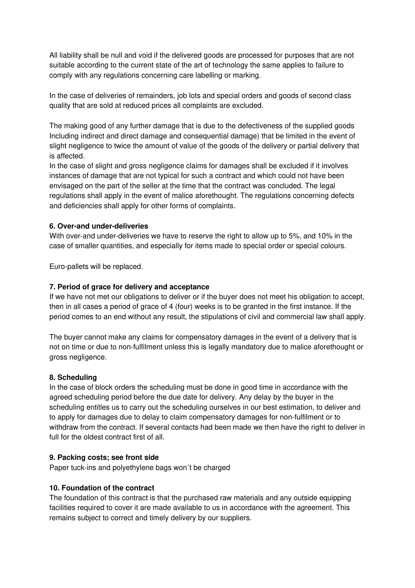All liability shall be null and void if the delivered goods are processed for purposes that are not suitable according to the current state of the art of technology the same applies to failure to comply with any regulations concerning care labelling or marking.

In the case of deliveries of remainders, job lots and special orders and goods of second class quality that are sold at reduced prices all complaints are excluded.

The making good of any further damage that is due to the defectiveness of the supplied goods Including indirect and direct damage and consequential damage) that be limited in the event of slight negligence to twice the amount of value of the goods of the delivery or partial delivery that is affected.

In the case of slight and gross negligence claims for damages shall be excluded if it involves instances of damage that are not typical for such a contract and which could not have been envisaged on the part of the seller at the time that the contract was concluded. The legal regulations shall apply in the event of malice aforethought. The regulations concerning defects and deficiencies shall apply for other forms of complaints.

## **6. Over-and under-deliveries**

With over-and under-deliveries we have to reserve the right to allow up to 5%, and 10% in the case of smaller quantities, and especially for items made to special order or special colours.

Euro-pallets will be replaced.

#### **7. Period of grace for delivery and acceptance**

If we have not met our obligations to deliver or if the buyer does not meet his obligation to accept, then in all cases a period of grace of 4 (four) weeks is to be granted in the first instance. If the period comes to an end without any result, the stipulations of civil and commercial law shall apply.

The buyer cannot make any claims for compensatory damages in the event of a delivery that is not on time or due to non-fulfilment unless this is legally mandatory due to malice aforethought or gross negligence.

#### **8. Scheduling**

In the case of block orders the scheduling must be done in good time in accordance with the agreed scheduling period before the due date for delivery. Any delay by the buyer in the scheduling entitles us to carry out the scheduling ourselves in our best estimation, to deliver and to apply for damages due to delay to claim compensatory damages for non-fulfilment or to withdraw from the contract. If several contacts had been made we then have the right to deliver in full for the oldest contract first of all.

#### **9. Packing costs; see front side**

Paper tuck-ins and polyethylene bags won´t be charged

## **10. Foundation of the contract**

The foundation of this contract is that the purchased raw materials and any outside equipping facilities required to cover it are made available to us in accordance with the agreement. This remains subject to correct and timely delivery by our suppliers.